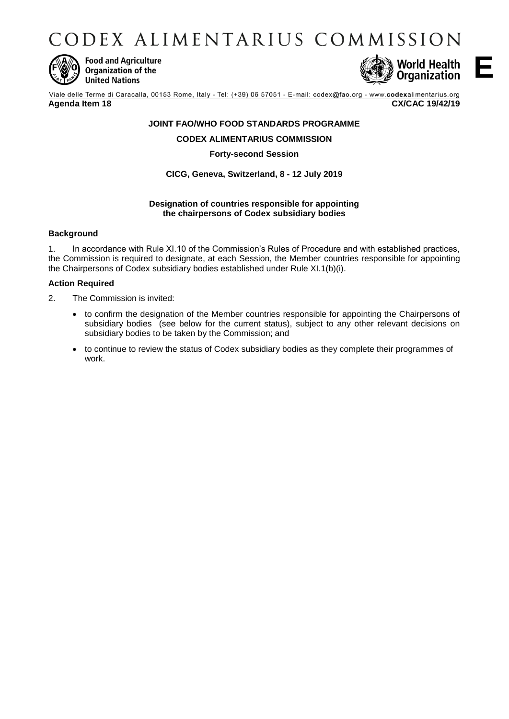CODEX ALIMENTARIUS COMMISSION



**Food and Agriculture** Organization of the **United Nations** 



**E**

Viale delle Terme di Caracalla, 00153 Rome, Italy - Tel: (+39) 06 57051 - E-mail: codex@fao.org - www.codexalimentarius.org **Agenda Item 18 CX/CAC 19/42/19**

# **JOINT FAO/WHO FOOD STANDARDS PROGRAMME**

# **CODEX ALIMENTARIUS COMMISSION**

#### **Forty-second Session**

# **CICG, Geneva, Switzerland, 8 - 12 July 2019**

#### **Designation of countries responsible for appointing the chairpersons of Codex subsidiary bodies**

## **Background**

1. In accordance with Rule XI.10 of the Commission's Rules of Procedure and with established practices, the Commission is required to designate, at each Session, the Member countries responsible for appointing the Chairpersons of Codex subsidiary bodies established under Rule XI.1(b)(i).

#### **Action Required**

- 2. The Commission is invited:
	- to confirm the designation of the Member countries responsible for appointing the Chairpersons of subsidiary bodies (see below for the current status), subject to any other relevant decisions on subsidiary bodies to be taken by the Commission; and
	- to continue to review the status of Codex subsidiary bodies as they complete their programmes of work.